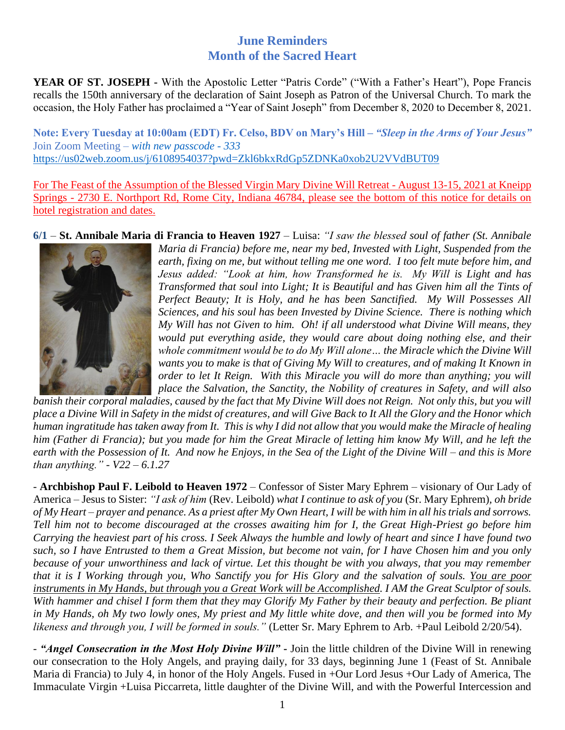## **June Reminders Month of the Sacred Heart**

**YEAR OF ST. JOSEPH -** With the Apostolic Letter "Patris Corde" ("With a Father's Heart"), Pope Francis recalls the 150th anniversary of the declaration of Saint Joseph as Patron of the Universal Church. To mark the occasion, the Holy Father has proclaimed a "Year of Saint Joseph" from December 8, 2020 to December 8, 2021.

**Note: Every Tuesday at 10:00am (EDT) Fr. Celso, BDV on Mary's Hill –** *"Sleep in the Arms of Your Jesus"* Join Zoom Meeting – *with new passcode - 333* [https://us02web.zoom.us/j/6108954037?pwd=Zkl6bkxRdGp5ZDNKa0xob2U2VVdBUT09](https://nam11.safelinks.protection.outlook.com/?url=https%3A%2F%2Fwww.google.com%2Furl%3Fq%3Dhttps%3A%2F%2Fus02web.zoom.us%2Fj%2F6108954037%3Fpwd%253DZkl6bkxRdGp5ZDNKa0xob2U2VVdBUT09%26sa%3DD%26source%3Dcalendar%26ust%3D1601842930410000%26usg%3DAOvVaw2vjwbztzZh_PkZ7-yb8VZ2&data=02%7C01%7C%7C181b537d0dc34c5a07a508d864b70890%7C84df9e7fe9f640afb435aaaaaaaaaaaa%7C1%7C0%7C637370084576676164&sdata=%2F3nIvrg6KwvznWUMFXt0jmwqzbDgksoFlVpqgImuPsw%3D&reserved=0)

For The Feast of the Assumption of the Blessed Virgin Mary Divine Will Retreat - August 13-15, 2021 at Kneipp Springs - 2730 E. Northport Rd, Rome City, Indiana 46784, please see the bottom of this notice for details on hotel registration and dates.

**6/1** – **St. Annibale Maria di Francia to Heaven 1927** *–* Luisa: *"I saw the blessed soul of father (St. Annibale* 



*Maria di Francia) before me, near my bed, Invested with Light, Suspended from the earth, fixing on me, but without telling me one word. I too felt mute before him, and Jesus added: "Look at him, how Transformed he is. My Will is Light and has Transformed that soul into Light; It is Beautiful and has Given him all the Tints of Perfect Beauty; It is Holy, and he has been Sanctified. My Will Possesses All Sciences, and his soul has been Invested by Divine Science. There is nothing which My Will has not Given to him. Oh! if all understood what Divine Will means, they would put everything aside, they would care about doing nothing else, and their whole commitment would be to do My Will alone… the Miracle which the Divine Will wants you to make is that of Giving My Will to creatures, and of making It Known in order to let It Reign. With this Miracle you will do more than anything; you will place the Salvation, the Sanctity, the Nobility of creatures in Safety, and will also* 

*banish their corporal maladies, caused by the fact that My Divine Will does not Reign. Not only this, but you will place a Divine Will in Safety in the midst of creatures, and will Give Back to It All the Glory and the Honor which human ingratitude has taken away from It. This is why I did not allow that you would make the Miracle of healing him (Father di Francia); but you made for him the Great Miracle of letting him know My Will, and he left the earth with the Possession of It. And now he Enjoys, in the Sea of the Light of the Divine Will – and this is More than anything." - V22 – 6.1.27*

*-* **Archbishop Paul F. Leibold to Heaven 1972** *–* Confessor of Sister Mary Ephrem – visionary of Our Lady of America – Jesus to Sister: *"I ask of him* (Rev. Leibold) *what I continue to ask of you* (Sr. Mary Ephrem)*, oh bride of My Heart – prayer and penance. As a priest after My Own Heart, I will be with him in all his trials and sorrows. Tell him not to become discouraged at the crosses awaiting him for I, the Great High-Priest go before him Carrying the heaviest part of his cross. I Seek Always the humble and lowly of heart and since I have found two such, so I have Entrusted to them a Great Mission, but become not vain, for I have Chosen him and you only because of your unworthiness and lack of virtue. Let this thought be with you always, that you may remember that it is I Working through you, Who Sanctify you for His Glory and the salvation of souls. You are poor instruments in My Hands, but through you a Great Work will be Accomplished. I AM the Great Sculptor of souls. With hammer and chisel I form them that they may Glorify My Father by their beauty and perfection. Be pliant in My Hands, oh My two lowly ones, My priest and My little white dove, and then will you be formed into My likeness and through you, I will be formed in souls."* (Letter Sr. Mary Ephrem to Arb. +Paul Leibold 2/20/54).

- *"Angel Consecration in the Most Holy Divine Will"* **-** Join the little children of the Divine Will in renewing our consecration to the Holy Angels, and praying daily, for 33 days, beginning June 1 (Feast of St. Annibale Maria di Francia) to July 4, in honor of the Holy Angels. Fused in +Our Lord Jesus +Our Lady of America, The Immaculate Virgin +Luisa Piccarreta, little daughter of the Divine Will, and with the Powerful Intercession and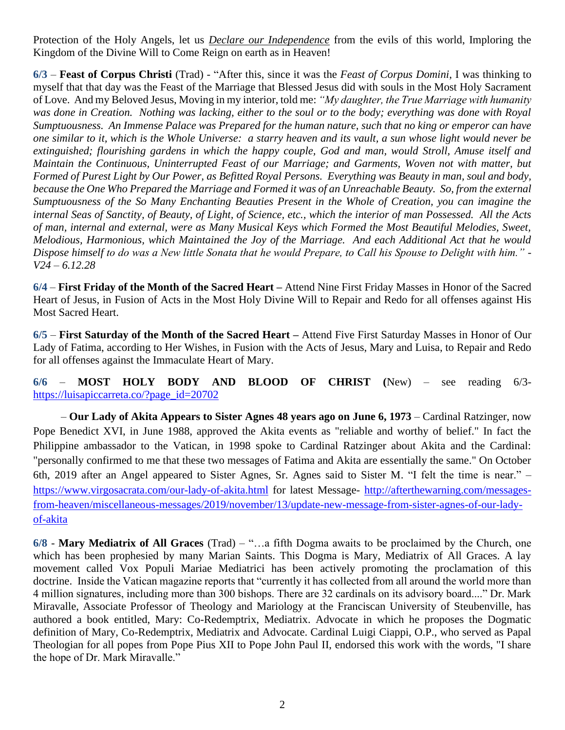Protection of the Holy Angels, let us *Declare our Independence* from the evils of this world, Imploring the Kingdom of the Divine Will to Come Reign on earth as in Heaven!

**6/3** – **Feast of Corpus Christi** (Trad) - "After this, since it was the *Feast of Corpus Domini*, I was thinking to myself that that day was the Feast of the Marriage that Blessed Jesus did with souls in the Most Holy Sacrament of Love. And my Beloved Jesus, Moving in my interior, told me: *"My daughter, the True Marriage with humanity*  was done in Creation. Nothing was lacking, either to the soul or to the body; everything was done with Royal *Sumptuousness. An Immense Palace was Prepared for the human nature, such that no king or emperor can have one similar to it, which is the Whole Universe: a starry heaven and its vault, a sun whose light would never be extinguished; flourishing gardens in which the happy couple, God and man, would Stroll, Amuse itself and Maintain the Continuous, Uninterrupted Feast of our Marriage; and Garments, Woven not with matter, but Formed of Purest Light by Our Power, as Befitted Royal Persons. Everything was Beauty in man, soul and body, because the One Who Prepared the Marriage and Formed it was of an Unreachable Beauty. So, from the external Sumptuousness of the So Many Enchanting Beauties Present in the Whole of Creation, you can imagine the internal Seas of Sanctity, of Beauty, of Light, of Science, etc., which the interior of man Possessed. All the Acts of man, internal and external, were as Many Musical Keys which Formed the Most Beautiful Melodies, Sweet, Melodious, Harmonious, which Maintained the Joy of the Marriage. And each Additional Act that he would Dispose himself to do was a New little Sonata that he would Prepare, to Call his Spouse to Delight with him."* - *V24 – 6.12.28*

**6/4** – **First Friday of the Month of the Sacred Heart –** Attend Nine First Friday Masses in Honor of the Sacred Heart of Jesus, in Fusion of Acts in the Most Holy Divine Will to Repair and Redo for all offenses against His Most Sacred Heart.

**6/5** – **First Saturday of the Month of the Sacred Heart –** Attend Five First Saturday Masses in Honor of Our Lady of Fatima, according to Her Wishes, in Fusion with the Acts of Jesus, Mary and Luisa, to Repair and Redo for all offenses against the Immaculate Heart of Mary.

**6/6** – **MOST HOLY BODY AND BLOOD OF CHRIST (**New) – see reading 6/3 [https://luisapiccarreta.co/?page\\_id=20702](https://luisapiccarreta.co/?page_id=20702)

– **Our Lady of Akita Appears to Sister Agnes 48 years ago on June 6, 1973** – Cardinal Ratzinger, now Pope Benedict XVI, in June 1988, approved the Akita events as "reliable and worthy of belief." In fact the Philippine ambassador to the Vatican, in 1998 spoke to Cardinal Ratzinger about Akita and the Cardinal: "personally confirmed to me that these two messages of Fatima and Akita are essentially the same." On October 6th, 2019 after an Angel appeared to Sister Agnes, Sr. Agnes said to Sister M. "I felt the time is near." – <https://www.virgosacrata.com/our-lady-of-akita.html> for latest Message- [http://afterthewarning.com/messages](http://afterthewarning.com/messages-from-heaven/miscellaneous-messages/2019/november/13/update-new-message-from-sister-agnes-of-our-lady-of-akita)[from-heaven/miscellaneous-messages/2019/november/13/update-new-message-from-sister-agnes-of-our-lady](http://afterthewarning.com/messages-from-heaven/miscellaneous-messages/2019/november/13/update-new-message-from-sister-agnes-of-our-lady-of-akita)[of-akita](http://afterthewarning.com/messages-from-heaven/miscellaneous-messages/2019/november/13/update-new-message-from-sister-agnes-of-our-lady-of-akita)

**6/8** *-* **Mary Mediatrix of All Graces** (Trad) – "…a fifth Dogma awaits to be proclaimed by the Church, one which has been prophesied by many Marian Saints. This Dogma is Mary, Mediatrix of All Graces. A lay movement called Vox Populi Mariae Mediatrici has been actively promoting the proclamation of this doctrine. Inside the Vatican magazine reports that "currently it has collected from all around the world more than 4 million signatures, including more than 300 bishops. There are 32 cardinals on its advisory board...." Dr. Mark Miravalle, Associate Professor of Theology and Mariology at the Franciscan University of Steubenville, has authored a book entitled, Mary: Co-Redemptrix, Mediatrix. Advocate in which he proposes the Dogmatic definition of Mary, Co-Redemptrix, Mediatrix and Advocate. Cardinal Luigi Ciappi, O.P., who served as Papal Theologian for all popes from Pope Pius XII to Pope John Paul II, endorsed this work with the words, "I share the hope of Dr. Mark Miravalle."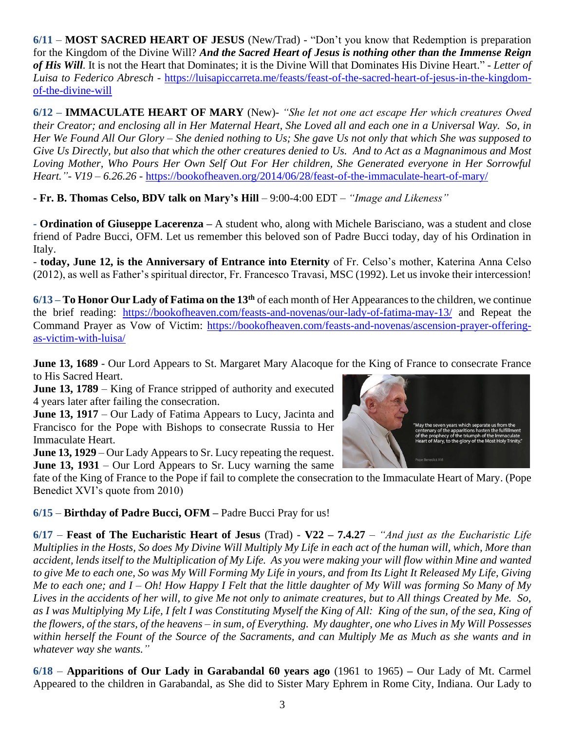**6/11** – **MOST SACRED HEART OF JESUS** (New/Trad) - "Don't you know that Redemption is preparation for the Kingdom of the Divine Will? *And the Sacred Heart of Jesus is nothing other than the Immense Reign of His Will.* It is not the Heart that Dominates; it is the Divine Will that Dominates His Divine Heart." - *Letter of Luisa to Federico Abresch -* [https://luisapiccarreta.me/feasts/feast-of-the-sacred-heart-of-jesus-in-the-kingdom](https://luisapiccarreta.me/feasts/feast-of-the-sacred-heart-of-jesus-in-the-kingdom-of-the-divine-will)[of-the-divine-will](https://luisapiccarreta.me/feasts/feast-of-the-sacred-heart-of-jesus-in-the-kingdom-of-the-divine-will)

**6/12 – IMMACULATE HEART OF MARY** (New)- *"She let not one act escape Her which creatures Owed their Creator; and enclosing all in Her Maternal Heart, She Loved all and each one in a Universal Way. So, in Her We Found All Our Glory – She denied nothing to Us; She gave Us not only that which She was supposed to Give Us Directly, but also that which the other creatures denied to Us. And to Act as a Magnanimous and Most Loving Mother, Who Pours Her Own Self Out For Her children, She Generated everyone in Her Sorrowful Heart."- V19 – 6.26.26 -* <https://bookofheaven.org/2014/06/28/feast-of-the-immaculate-heart-of-mary/>

**- Fr. B. Thomas Celso, BDV talk on Mary's Hill** – 9:00-4:00 EDT – *"Image and Likeness"*

**- Ordination of Giuseppe Lacerenza –** A student who, along with Michele Barisciano, was a student and close friend of Padre Bucci, OFM. Let us remember this beloved son of Padre Bucci today, day of his Ordination in Italy.

- **today, June 12, is the Anniversary of Entrance into Eternity** of Fr. Celso's mother, Katerina Anna Celso (2012), as well as Father's spiritual director, Fr. Francesco Travasi, MSC (1992). Let us invoke their intercession!

**6/13 – To Honor Our Lady of Fatima on the 13th** of each month of Her Appearances to the children, we continue the brief reading: <https://bookofheaven.com/feasts-and-novenas/our-lady-of-fatima-may-13/> and Repeat the Command Prayer as Vow of Victim: [https://bookofheaven.com/feasts-and-novenas/ascension-prayer-offering](https://bookofheaven.com/feasts-and-novenas/ascension-prayer-offering-as-victim-with-luisa/)[as-victim-with-luisa/](https://bookofheaven.com/feasts-and-novenas/ascension-prayer-offering-as-victim-with-luisa/)

**June 13, 1689** - Our Lord Appears to St. Margaret Mary Alacoque for the King of France to consecrate France to His Sacred Heart.

**June 13, 1789** – King of France stripped of authority and executed 4 years later after failing the consecration.

**June 13, 1917** – Our Lady of Fatima Appears to Lucy, Jacinta and Francisco for the Pope with Bishops to consecrate Russia to Her Immaculate Heart.

**June 13, 1929** – Our Lady Appears to Sr. Lucy repeating the request. **June 13, 1931** – Our Lord Appears to Sr. Lucy warning the same



fate of the King of France to the Pope if fail to complete the consecration to the Immaculate Heart of Mary. (Pope Benedict XVI's quote from 2010)

**6/15** – **Birthday of Padre Bucci, OFM –** Padre Bucci Pray for us!

**6/17** – **Feast of The Eucharistic Heart of Jesus** (Trad) - **V22 – 7.4.27** – *"And just as the Eucharistic Life Multiplies in the Hosts, So does My Divine Will Multiply My Life in each act of the human will, which, More than accident, lends itself to the Multiplication of My Life. As you were making your will flow within Mine and wanted to give Me to each one, So was My Will Forming My Life in yours, and from Its Light It Released My Life, Giving Me to each one; and I – Oh! How Happy I Felt that the little daughter of My Will was forming So Many of My Lives in the accidents of her will, to give Me not only to animate creatures, but to All things Created by Me. So,*  as I was Multiplying My Life, I felt I was Constituting Myself the King of All: King of the sun, of the sea, King of *the flowers, of the stars, of the heavens – in sum, of Everything. My daughter, one who Lives in My Will Possesses within herself the Fount of the Source of the Sacraments, and can Multiply Me as Much as she wants and in whatever way she wants."*

**6/18** – **Apparitions of Our Lady in Garabandal 60 years ago** (1961 to 1965) **–** Our Lady of Mt. Carmel Appeared to the children in Garabandal, as She did to Sister Mary Ephrem in Rome City, Indiana. Our Lady to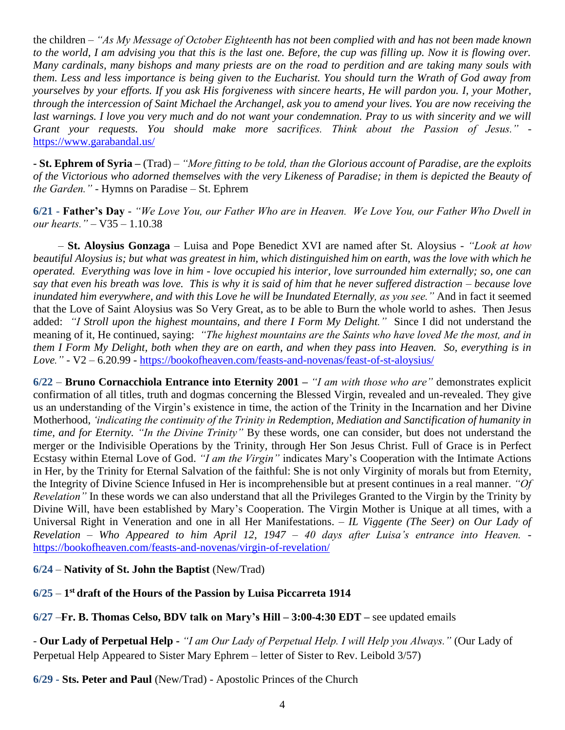the children – *"As My Message of October Eighteenth has not been complied with and has not been made known to the world, I am advising you that this is the last one. Before, the cup was filling up. Now it is flowing over. Many cardinals, many bishops and many priests are on the road to perdition and are taking many souls with them. Less and less importance is being given to the Eucharist. You should turn the Wrath of God away from yourselves by your efforts. If you ask His forgiveness with sincere hearts, He will pardon you. I, your Mother, through the intercession of Saint Michael the Archangel, ask you to amend your lives. You are now receiving the*  last warnings. I love you very much and do not want your condemnation. Pray to us with sincerity and we will *Grant your requests. You should make more sacrifices. Think about the Passion of Jesus."*  <https://www.garabandal.us/>

**- St. Ephrem of Syria –** (Trad) – *"More fitting to be told, than the Glorious account of Paradise, are the exploits of the Victorious who adorned themselves with the very Likeness of Paradise; in them is depicted the Beauty of the Garden."* - Hymns on Paradise – St. Ephrem

**6/21 - Father's Day** - *"We Love You, our Father Who are in Heaven. We Love You, our Father Who Dwell in our hearts."* – V35 – 1.10.38

– **St. Aloysius Gonzaga** – Luisa and Pope Benedict XVI are named after St. Aloysius - *"Look at how beautiful Aloysius is; but what was greatest in him, which distinguished him on earth, was the love with which he operated. Everything was love in him - love occupied his interior, love surrounded him externally; so, one can say that even his breath was love. This is why it is said of him that he never suffered distraction – because love inundated him everywhere, and with this Love he will be Inundated Eternally, as you see."* And in fact it seemed that the Love of Saint Aloysius was So Very Great, as to be able to Burn the whole world to ashes. Then Jesus added: *"I Stroll upon the highest mountains, and there I Form My Delight."* Since I did not understand the meaning of it, He continued, saying: *"The highest mountains are the Saints who have loved Me the most, and in them I Form My Delight, both when they are on earth, and when they pass into Heaven. So, everything is in Love."* - V2 – 6.20.99 - <https://bookofheaven.com/feasts-and-novenas/feast-of-st-aloysius/>

**6/22** – **Bruno Cornacchiola Entrance into Eternity 2001 –** *"I am with those who are"* demonstrates explicit confirmation of all titles, truth and dogmas concerning the Blessed Virgin, revealed and un-revealed. They give us an understanding of the Virgin's existence in time, the action of the Trinity in the Incarnation and her Divine Motherhood, *'indicating the continuity of the Trinity in Redemption, Mediation and Sanctification of humanity in time, and for Eternity. "In the Divine Trinity"* By these words, one can consider, but does not understand the merger or the Indivisible Operations by the Trinity, through Her Son Jesus Christ. Full of Grace is in Perfect Ecstasy within Eternal Love of God. *"I am the Virgin"* indicates Mary's Cooperation with the Intimate Actions in Her, by the Trinity for Eternal Salvation of the faithful: She is not only Virginity of morals but from Eternity, the Integrity of Divine Science Infused in Her is incomprehensible but at present continues in a real manner. *"Of Revelation"* In these words we can also understand that all the Privileges Granted to the Virgin by the Trinity by Divine Will, have been established by Mary's Cooperation. The Virgin Mother is Unique at all times, with a Universal Right in Veneration and one in all Her Manifestations. – *IL Viggente (The Seer) on Our Lady of Revelation – Who Appeared to him April 12, 1947 – 40 days after Luisa's entrance into Heaven.* <https://bookofheaven.com/feasts-and-novenas/virgin-of-revelation/>

**6/24** – **Nativity of St. John the Baptist** (New/Trad)

**6/25** – **1 st draft of the Hours of the Passion by Luisa Piccarreta 1914**

**6/27** –**Fr. B. Thomas Celso, BDV talk on Mary's Hill – 3:00-4:30 EDT –** see updated emails

- **Our Lady of Perpetual Help -** *"I am Our Lady of Perpetual Help. I will Help you Always."* (Our Lady of Perpetual Help Appeared to Sister Mary Ephrem – letter of Sister to Rev. Leibold 3/57)

**6/29 - Sts. Peter and Paul** (New/Trad) - Apostolic Princes of the Church